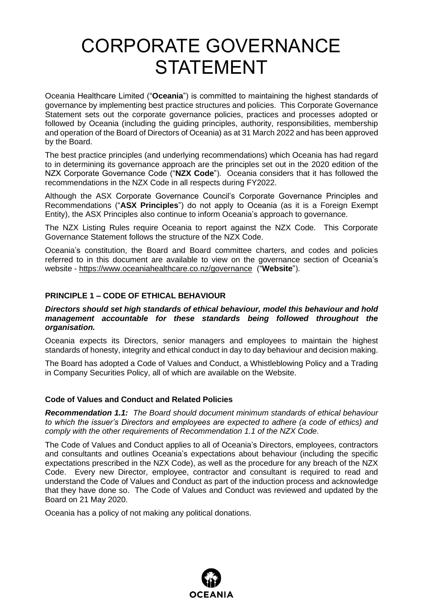# CORPORATE GOVERNANCE STATEMENT

Oceania Healthcare Limited ("**Oceania**") is committed to maintaining the highest standards of governance by implementing best practice structures and policies. This Corporate Governance Statement sets out the corporate governance policies, practices and processes adopted or followed by Oceania (including the guiding principles, authority, responsibilities, membership and operation of the Board of Directors of Oceania) as at 31 March 2022 and has been approved by the Board.

The best practice principles (and underlying recommendations) which Oceania has had regard to in determining its governance approach are the principles set out in the 2020 edition of the NZX Corporate Governance Code ("**NZX Code**"). Oceania considers that it has followed the recommendations in the NZX Code in all respects during FY2022.

Although the ASX Corporate Governance Council's Corporate Governance Principles and Recommendations ("**ASX Principles**") do not apply to Oceania (as it is a Foreign Exempt Entity), the ASX Principles also continue to inform Oceania's approach to governance.

The NZX Listing Rules require Oceania to report against the NZX Code. This Corporate Governance Statement follows the structure of the NZX Code.

Oceania's constitution, the Board and Board committee charters, and codes and policies referred to in this document are available to view on the governance section of Oceania's website - https://www.oceaniahealthcare.co.nz/governance ("**Website**").

## **PRINCIPLE 1 – CODE OF ETHICAL BEHAVIOUR**

#### *Directors should set high standards of ethical behaviour, model this behaviour and hold management accountable for these standards being followed throughout the organisation.*

Oceania expects its Directors, senior managers and employees to maintain the highest standards of honesty, integrity and ethical conduct in day to day behaviour and decision making.

The Board has adopted a Code of Values and Conduct, a Whistleblowing Policy and a Trading in Company Securities Policy, all of which are available on the Website.

#### **Code of Values and Conduct and Related Policies**

*Recommendation 1.1: The Board should document minimum standards of ethical behaviour to which the issuer's Directors and employees are expected to adhere (a code of ethics) and comply with the other requirements of Recommendation 1.1 of the NZX Code.*

The Code of Values and Conduct applies to all of Oceania's Directors, employees, contractors and consultants and outlines Oceania's expectations about behaviour (including the specific expectations prescribed in the NZX Code), as well as the procedure for any breach of the NZX Code. Every new Director, employee, contractor and consultant is required to read and understand the Code of Values and Conduct as part of the induction process and acknowledge that they have done so. The Code of Values and Conduct was reviewed and updated by the Board on 21 May 2020.

Oceania has a policy of not making any political donations.

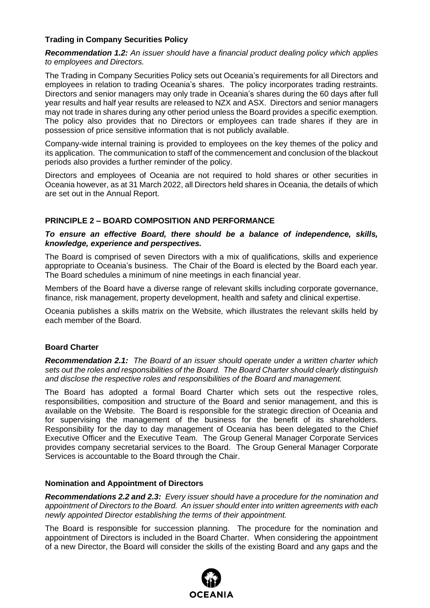# **Trading in Company Securities Policy**

*Recommendation 1.2: An issuer should have a financial product dealing policy which applies to employees and Directors.*

The Trading in Company Securities Policy sets out Oceania's requirements for all Directors and employees in relation to trading Oceania's shares. The policy incorporates trading restraints. Directors and senior managers may only trade in Oceania's shares during the 60 days after full year results and half year results are released to NZX and ASX. Directors and senior managers may not trade in shares during any other period unless the Board provides a specific exemption. The policy also provides that no Directors or employees can trade shares if they are in possession of price sensitive information that is not publicly available.

Company-wide internal training is provided to employees on the key themes of the policy and its application. The communication to staff of the commencement and conclusion of the blackout periods also provides a further reminder of the policy.

Directors and employees of Oceania are not required to hold shares or other securities in Oceania however, as at 31 March 2022, all Directors held shares in Oceania, the details of which are set out in the Annual Report.

# **PRINCIPLE 2 – BOARD COMPOSITION AND PERFORMANCE**

## *To ensure an effective Board, there should be a balance of independence, skills, knowledge, experience and perspectives.*

The Board is comprised of seven Directors with a mix of qualifications, skills and experience appropriate to Oceania's business. The Chair of the Board is elected by the Board each year. The Board schedules a minimum of nine meetings in each financial year.

Members of the Board have a diverse range of relevant skills including corporate governance, finance, risk management, property development, health and safety and clinical expertise.

Oceania publishes a skills matrix on the Website, which illustrates the relevant skills held by each member of the Board.

## **Board Charter**

*Recommendation 2.1: The Board of an issuer should operate under a written charter which sets out the roles and responsibilities of the Board. The Board Charter should clearly distinguish and disclose the respective roles and responsibilities of the Board and management.* 

The Board has adopted a formal Board Charter which sets out the respective roles, responsibilities, composition and structure of the Board and senior management, and this is available on the Website. The Board is responsible for the strategic direction of Oceania and for supervising the management of the business for the benefit of its shareholders. Responsibility for the day to day management of Oceania has been delegated to the Chief Executive Officer and the Executive Team. The Group General Manager Corporate Services provides company secretarial services to the Board. The Group General Manager Corporate Services is accountable to the Board through the Chair.

## **Nomination and Appointment of Directors**

*Recommendations 2.2 and 2.3: Every issuer should have a procedure for the nomination and appointment of Directors to the Board. An issuer should enter into written agreements with each newly appointed Director establishing the terms of their appointment.*

The Board is responsible for succession planning. The procedure for the nomination and appointment of Directors is included in the Board Charter. When considering the appointment of a new Director, the Board will consider the skills of the existing Board and any gaps and the

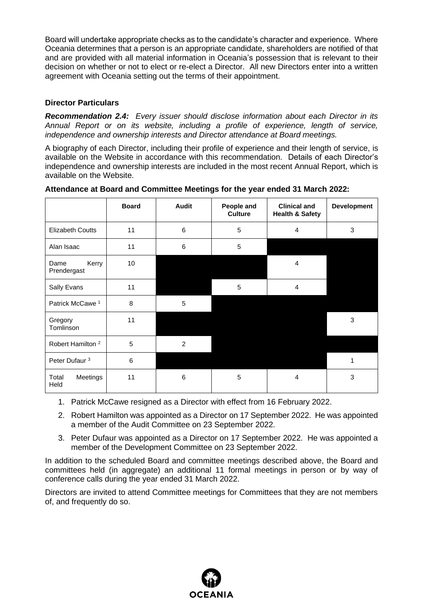Board will undertake appropriate checks as to the candidate's character and experience. Where Oceania determines that a person is an appropriate candidate, shareholders are notified of that and are provided with all material information in Oceania's possession that is relevant to their decision on whether or not to elect or re-elect a Director. All new Directors enter into a written agreement with Oceania setting out the terms of their appointment.

# **Director Particulars**

*Recommendation 2.4: Every issuer should disclose information about each Director in its Annual Report or on its website, including a profile of experience, length of service, independence and ownership interests and Director attendance at Board meetings.*

A biography of each Director, including their profile of experience and their length of service, is available on the Website in accordance with this recommendation. Details of each Director's independence and ownership interests are included in the most recent Annual Report, which is available on the Website.

|                              | <b>Board</b> | <b>Audit</b>   | People and<br><b>Culture</b> | <b>Clinical and</b><br><b>Health &amp; Safety</b> | <b>Development</b> |
|------------------------------|--------------|----------------|------------------------------|---------------------------------------------------|--------------------|
| <b>Elizabeth Coutts</b>      | 11           | 6              | 5                            | $\overline{4}$                                    | 3                  |
| Alan Isaac                   | 11           | 6              | 5                            |                                                   |                    |
| Kerry<br>Dame<br>Prendergast | 10           |                |                              | 4                                                 |                    |
| Sally Evans                  | 11           |                | 5                            | $\overline{4}$                                    |                    |
| Patrick McCawe <sup>1</sup>  | 8            | 5              |                              |                                                   |                    |
| Gregory<br>Tomlinson         | 11           |                |                              |                                                   | 3                  |
| Robert Hamilton <sup>2</sup> | 5            | $\overline{2}$ |                              |                                                   |                    |
| Peter Dufaur <sup>3</sup>    | 6            |                |                              |                                                   | 1                  |
| Total<br>Meetings<br>Held    | 11           | 6              | 5                            | 4                                                 | 3                  |

**Attendance at Board and Committee Meetings for the year ended 31 March 2022:**

- 1. Patrick McCawe resigned as a Director with effect from 16 February 2022.
- 2. Robert Hamilton was appointed as a Director on 17 September 2022. He was appointed a member of the Audit Committee on 23 September 2022.
- 3. Peter Dufaur was appointed as a Director on 17 September 2022. He was appointed a member of the Development Committee on 23 September 2022.

In addition to the scheduled Board and committee meetings described above, the Board and committees held (in aggregate) an additional 11 formal meetings in person or by way of conference calls during the year ended 31 March 2022.

Directors are invited to attend Committee meetings for Committees that they are not members of, and frequently do so.

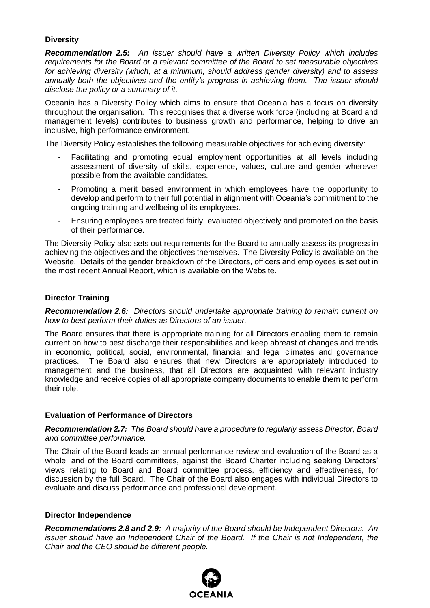# **Diversity**

*Recommendation 2.5: An issuer should have a written Diversity Policy which includes requirements for the Board or a relevant committee of the Board to set measurable objectives for achieving diversity (which, at a minimum, should address gender diversity) and to assess annually both the objectives and the entity's progress in achieving them. The issuer should disclose the policy or a summary of it.*

Oceania has a Diversity Policy which aims to ensure that Oceania has a focus on diversity throughout the organisation. This recognises that a diverse work force (including at Board and management levels) contributes to business growth and performance, helping to drive an inclusive, high performance environment.

The Diversity Policy establishes the following measurable objectives for achieving diversity:

- Facilitating and promoting equal employment opportunities at all levels including assessment of diversity of skills, experience, values, culture and gender wherever possible from the available candidates.
- Promoting a merit based environment in which employees have the opportunity to develop and perform to their full potential in alignment with Oceania's commitment to the ongoing training and wellbeing of its employees.
- Ensuring employees are treated fairly, evaluated objectively and promoted on the basis of their performance.

The Diversity Policy also sets out requirements for the Board to annually assess its progress in achieving the objectives and the objectives themselves. The Diversity Policy is available on the Website. Details of the gender breakdown of the Directors, officers and employees is set out in the most recent Annual Report, which is available on the Website.

#### **Director Training**

*Recommendation 2.6: Directors should undertake appropriate training to remain current on how to best perform their duties as Directors of an issuer.*

The Board ensures that there is appropriate training for all Directors enabling them to remain current on how to best discharge their responsibilities and keep abreast of changes and trends in economic, political, social, environmental, financial and legal climates and governance practices. The Board also ensures that new Directors are appropriately introduced to management and the business, that all Directors are acquainted with relevant industry knowledge and receive copies of all appropriate company documents to enable them to perform their role.

## **Evaluation of Performance of Directors**

*Recommendation 2.7: The Board should have a procedure to regularly assess Director, Board and committee performance.*

The Chair of the Board leads an annual performance review and evaluation of the Board as a whole, and of the Board committees, against the Board Charter including seeking Directors' views relating to Board and Board committee process, efficiency and effectiveness, for discussion by the full Board. The Chair of the Board also engages with individual Directors to evaluate and discuss performance and professional development.

#### **Director Independence**

*Recommendations 2.8 and 2.9: A majority of the Board should be Independent Directors. An issuer should have an Independent Chair of the Board. If the Chair is not Independent, the Chair and the CEO should be different people.*

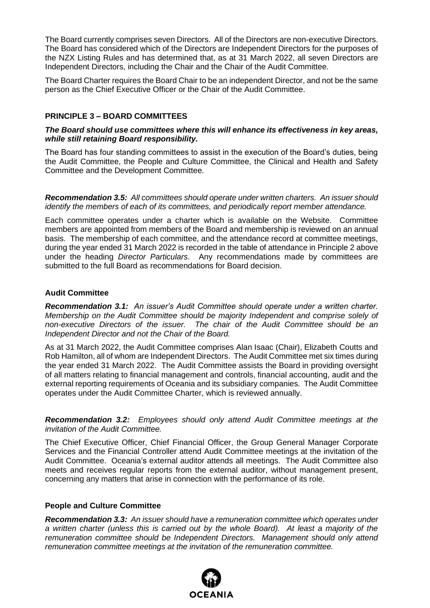The Board currently comprises seven Directors. All of the Directors are non-executive Directors. The Board has considered which of the Directors are Independent Directors for the purposes of the NZX Listing Rules and has determined that, as at 31 March 2022, all seven Directors are Independent Directors, including the Chair and the Chair of the Audit Committee.

The Board Charter requires the Board Chair to be an independent Director, and not be the same person as the Chief Executive Officer or the Chair of the Audit Committee.

## **PRINCIPLE 3 – BOARD COMMITTEES**

#### *The Board should use committees where this will enhance its effectiveness in key areas, while still retaining Board responsibility.*

The Board has four standing committees to assist in the execution of the Board's duties, being the Audit Committee, the People and Culture Committee, the Clinical and Health and Safety Committee and the Development Committee.

*Recommendation 3.5: All committees should operate under written charters. An issuer should identify the members of each of its committees, and periodically report member attendance.*

Each committee operates under a charter which is available on the Website. Committee members are appointed from members of the Board and membership is reviewed on an annual basis. The membership of each committee, and the attendance record at committee meetings, during the year ended 31 March 2022 is recorded in the table of attendance in Principle 2 above under the heading *Director Particulars*. Any recommendations made by committees are submitted to the full Board as recommendations for Board decision.

## **Audit Committee**

*Recommendation 3.1: An issuer's Audit Committee should operate under a written charter. Membership on the Audit Committee should be majority Independent and comprise solely of non-executive Directors of the issuer. The chair of the Audit Committee should be an Independent Director and not the Chair of the Board.*

As at 31 March 2022, the Audit Committee comprises Alan Isaac (Chair), Elizabeth Coutts and Rob Hamilton, all of whom are Independent Directors. The Audit Committee met six times during the year ended 31 March 2022. The Audit Committee assists the Board in providing oversight of all matters relating to financial management and controls, financial accounting, audit and the external reporting requirements of Oceania and its subsidiary companies. The Audit Committee operates under the Audit Committee Charter, which is reviewed annually.

*Recommendation 3.2: Employees should only attend Audit Committee meetings at the invitation of the Audit Committee.*

The Chief Executive Officer, Chief Financial Officer, the Group General Manager Corporate Services and the Financial Controller attend Audit Committee meetings at the invitation of the Audit Committee. Oceania's external auditor attends all meetings. The Audit Committee also meets and receives regular reports from the external auditor, without management present, concerning any matters that arise in connection with the performance of its role.

#### **People and Culture Committee**

*Recommendation 3.3: An issuer should have a remuneration committee which operates under a written charter (unless this is carried out by the whole Board). At least a majority of the remuneration committee should be Independent Directors. Management should only attend remuneration committee meetings at the invitation of the remuneration committee.*

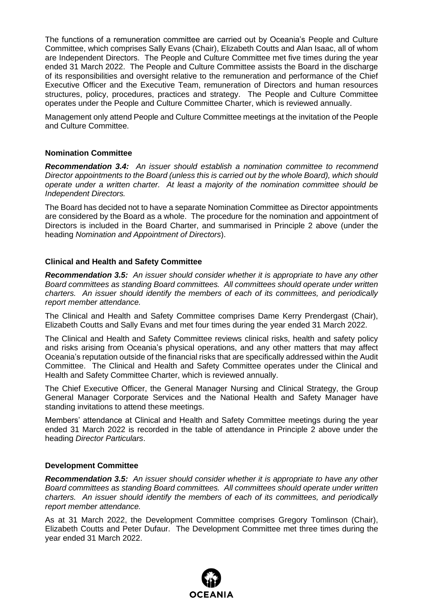The functions of a remuneration committee are carried out by Oceania's People and Culture Committee, which comprises Sally Evans (Chair), Elizabeth Coutts and Alan Isaac, all of whom are Independent Directors. The People and Culture Committee met five times during the year ended 31 March 2022. The People and Culture Committee assists the Board in the discharge of its responsibilities and oversight relative to the remuneration and performance of the Chief Executive Officer and the Executive Team, remuneration of Directors and human resources structures, policy, procedures, practices and strategy. The People and Culture Committee operates under the People and Culture Committee Charter, which is reviewed annually.

Management only attend People and Culture Committee meetings at the invitation of the People and Culture Committee.

#### **Nomination Committee**

*Recommendation 3.4: An issuer should establish a nomination committee to recommend Director appointments to the Board (unless this is carried out by the whole Board), which should operate under a written charter. At least a majority of the nomination committee should be Independent Directors.* 

The Board has decided not to have a separate Nomination Committee as Director appointments are considered by the Board as a whole. The procedure for the nomination and appointment of Directors is included in the Board Charter, and summarised in Principle 2 above (under the heading *Nomination and Appointment of Directors*).

## **Clinical and Health and Safety Committee**

*Recommendation 3.5: An issuer should consider whether it is appropriate to have any other Board committees as standing Board committees. All committees should operate under written charters. An issuer should identify the members of each of its committees, and periodically report member attendance.* 

The Clinical and Health and Safety Committee comprises Dame Kerry Prendergast (Chair), Elizabeth Coutts and Sally Evans and met four times during the year ended 31 March 2022.

The Clinical and Health and Safety Committee reviews clinical risks, health and safety policy and risks arising from Oceania's physical operations, and any other matters that may affect Oceania's reputation outside of the financial risks that are specifically addressed within the Audit Committee. The Clinical and Health and Safety Committee operates under the Clinical and Health and Safety Committee Charter, which is reviewed annually.

The Chief Executive Officer, the General Manager Nursing and Clinical Strategy, the Group General Manager Corporate Services and the National Health and Safety Manager have standing invitations to attend these meetings.

Members' attendance at Clinical and Health and Safety Committee meetings during the year ended 31 March 2022 is recorded in the table of attendance in Principle 2 above under the heading *Director Particulars*.

#### **Development Committee**

*Recommendation 3.5: An issuer should consider whether it is appropriate to have any other Board committees as standing Board committees. All committees should operate under written charters. An issuer should identify the members of each of its committees, and periodically report member attendance.* 

As at 31 March 2022, the Development Committee comprises Gregory Tomlinson (Chair), Elizabeth Coutts and Peter Dufaur. The Development Committee met three times during the year ended 31 March 2022.

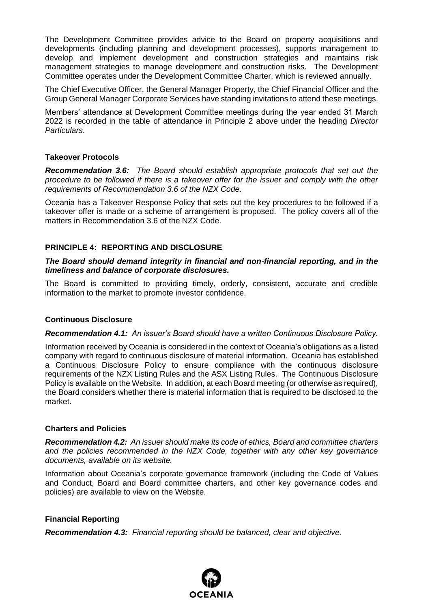The Development Committee provides advice to the Board on property acquisitions and developments (including planning and development processes), supports management to develop and implement development and construction strategies and maintains risk management strategies to manage development and construction risks. The Development Committee operates under the Development Committee Charter, which is reviewed annually.

The Chief Executive Officer, the General Manager Property, the Chief Financial Officer and the Group General Manager Corporate Services have standing invitations to attend these meetings.

Members' attendance at Development Committee meetings during the year ended 31 March 2022 is recorded in the table of attendance in Principle 2 above under the heading *Director Particulars*.

#### **Takeover Protocols**

*Recommendation 3.6: The Board should establish appropriate protocols that set out the procedure to be followed if there is a takeover offer for the issuer and comply with the other requirements of Recommendation 3.6 of the NZX Code.*

Oceania has a Takeover Response Policy that sets out the key procedures to be followed if a takeover offer is made or a scheme of arrangement is proposed. The policy covers all of the matters in Recommendation 3.6 of the NZX Code.

## **PRINCIPLE 4: REPORTING AND DISCLOSURE**

#### *The Board should demand integrity in financial and non-financial reporting, and in the timeliness and balance of corporate disclosures.*

The Board is committed to providing timely, orderly, consistent, accurate and credible information to the market to promote investor confidence.

#### **Continuous Disclosure**

#### *Recommendation 4.1: An issuer's Board should have a written Continuous Disclosure Policy.*

Information received by Oceania is considered in the context of Oceania's obligations as a listed company with regard to continuous disclosure of material information. Oceania has established a Continuous Disclosure Policy to ensure compliance with the continuous disclosure requirements of the NZX Listing Rules and the ASX Listing Rules. The Continuous Disclosure Policy is available on the Website. In addition, at each Board meeting (or otherwise as required), the Board considers whether there is material information that is required to be disclosed to the market.

## **Charters and Policies**

*Recommendation 4.2: An issuer should make its code of ethics, Board and committee charters and the policies recommended in the NZX Code, together with any other key governance documents, available on its website.*

Information about Oceania's corporate governance framework (including the Code of Values and Conduct, Board and Board committee charters, and other key governance codes and policies) are available to view on the Website.

## **Financial Reporting**

*Recommendation 4.3: Financial reporting should be balanced, clear and objective.*

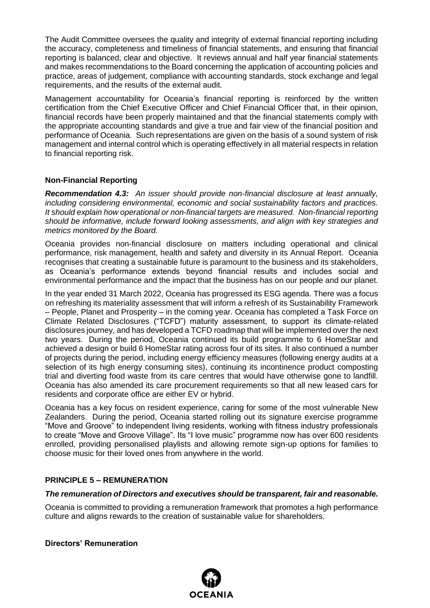The Audit Committee oversees the quality and integrity of external financial reporting including the accuracy, completeness and timeliness of financial statements, and ensuring that financial reporting is balanced, clear and objective. It reviews annual and half year financial statements and makes recommendations to the Board concerning the application of accounting policies and practice, areas of judgement, compliance with accounting standards, stock exchange and legal requirements, and the results of the external audit.

Management accountability for Oceania's financial reporting is reinforced by the written certification from the Chief Executive Officer and Chief Financial Officer that, in their opinion, financial records have been properly maintained and that the financial statements comply with the appropriate accounting standards and give a true and fair view of the financial position and performance of Oceania. Such representations are given on the basis of a sound system of risk management and internal control which is operating effectively in all material respects in relation to financial reporting risk.

# **Non-Financial Reporting**

*Recommendation 4.3: An issuer should provide non-financial disclosure at least annually, including considering environmental, economic and social sustainability factors and practices. It should explain how operational or non-financial targets are measured. Non-financial reporting should be informative, include forward looking assessments, and align with key strategies and metrics monitored by the Board.*

Oceania provides non-financial disclosure on matters including operational and clinical performance, risk management, health and safety and diversity in its Annual Report. Oceania recognises that creating a sustainable future is paramount to the business and its stakeholders, as Oceania's performance extends beyond financial results and includes social and environmental performance and the impact that the business has on our people and our planet.

In the year ended 31 March 2022, Oceania has progressed its ESG agenda. There was a focus on refreshing its materiality assessment that will inform a refresh of its Sustainability Framework – People, Planet and Prosperity – in the coming year. Oceania has completed a Task Force on Climate Related Disclosures ("TCFD") maturity assessment, to support its climate-related disclosures journey, and has developed a TCFD roadmap that will be implemented over the next two years. During the period, Oceania continued its build programme to 6 HomeStar and achieved a design or build 6 HomeStar rating across four of its sites. It also continued a number of projects during the period, including energy efficiency measures (following energy audits at a selection of its high energy consuming sites), continuing its incontinence product composting trial and diverting food waste from its care centres that would have otherwise gone to landfill. Oceania has also amended its care procurement requirements so that all new leased cars for residents and corporate office are either EV or hybrid.

Oceania has a key focus on resident experience, caring for some of the most vulnerable New Zealanders. During the period, Oceania started rolling out its signature exercise programme "Move and Groove" to independent living residents, working with fitness industry professionals to create "Move and Groove Village". Its "I love music" programme now has over 600 residents enrolled, providing personalised playlists and allowing remote sign-up options for families to choose music for their loved ones from anywhere in the world.

## **PRINCIPLE 5 – REMUNERATION**

## *The remuneration of Directors and executives should be transparent, fair and reasonable.*

Oceania is committed to providing a remuneration framework that promotes a high performance culture and aligns rewards to the creation of sustainable value for shareholders.

## **Directors' Remuneration**

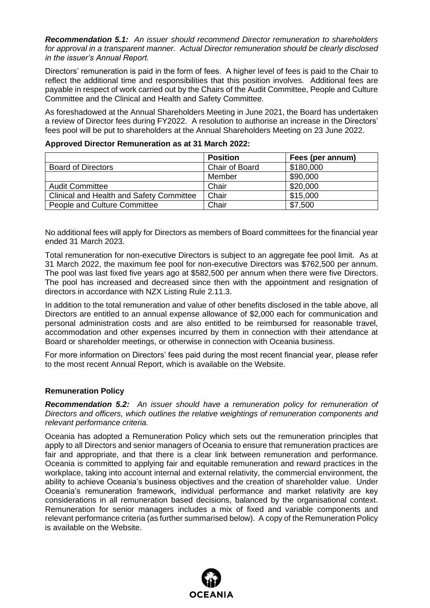*Recommendation 5.1: An issuer should recommend Director remuneration to shareholders for approval in a transparent manner. Actual Director remuneration should be clearly disclosed in the issuer's Annual Report.* 

Directors' remuneration is paid in the form of fees. A higher level of fees is paid to the Chair to reflect the additional time and responsibilities that this position involves. Additional fees are payable in respect of work carried out by the Chairs of the Audit Committee, People and Culture Committee and the Clinical and Health and Safety Committee.

As foreshadowed at the Annual Shareholders Meeting in June 2021, the Board has undertaken a review of Director fees during FY2022. A resolution to authorise an increase in the Directors' fees pool will be put to shareholders at the Annual Shareholders Meeting on 23 June 2022.

|                                          | <b>Position</b> | Fees (per annum) |
|------------------------------------------|-----------------|------------------|
| <b>Board of Directors</b>                | Chair of Board  | \$180,000        |
|                                          | Member          | \$90,000         |
| <b>Audit Committee</b>                   | Chair           | \$20,000         |
| Clinical and Health and Safety Committee | Chair           | \$15,000         |
| People and Culture Committee             | Chair           | \$7,500          |

#### **Approved Director Remuneration as at 31 March 2022:**

No additional fees will apply for Directors as members of Board committees for the financial year ended 31 March 2023.

Total remuneration for non-executive Directors is subject to an aggregate fee pool limit. As at 31 March 2022, the maximum fee pool for non-executive Directors was \$762,500 per annum. The pool was last fixed five years ago at \$582,500 per annum when there were five Directors. The pool has increased and decreased since then with the appointment and resignation of directors in accordance with NZX Listing Rule 2.11.3.

In addition to the total remuneration and value of other benefits disclosed in the table above, all Directors are entitled to an annual expense allowance of \$2,000 each for communication and personal administration costs and are also entitled to be reimbursed for reasonable travel, accommodation and other expenses incurred by them in connection with their attendance at Board or shareholder meetings, or otherwise in connection with Oceania business.

For more information on Directors' fees paid during the most recent financial year, please refer to the most recent Annual Report, which is available on the Website.

#### **Remuneration Policy**

*Recommendation 5.2: An issuer should have a remuneration policy for remuneration of Directors and officers, which outlines the relative weightings of remuneration components and relevant performance criteria.* 

Oceania has adopted a Remuneration Policy which sets out the remuneration principles that apply to all Directors and senior managers of Oceania to ensure that remuneration practices are fair and appropriate, and that there is a clear link between remuneration and performance. Oceania is committed to applying fair and equitable remuneration and reward practices in the workplace, taking into account internal and external relativity, the commercial environment, the ability to achieve Oceania's business objectives and the creation of shareholder value. Under Oceania's remuneration framework, individual performance and market relativity are key considerations in all remuneration based decisions, balanced by the organisational context. Remuneration for senior managers includes a mix of fixed and variable components and relevant performance criteria (as further summarised below). A copy of the Remuneration Policy is available on the Website.

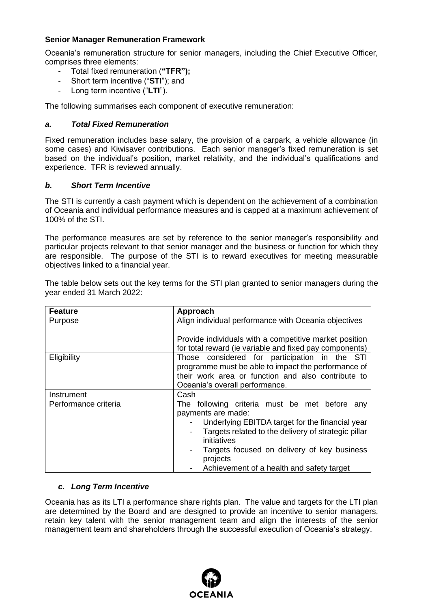# **Senior Manager Remuneration Framework**

Oceania's remuneration structure for senior managers, including the Chief Executive Officer, comprises three elements:

- Total fixed remuneration (**"TFR");**
- Short term incentive ("**STI**"); and
- Long term incentive ("LTI").

The following summarises each component of executive remuneration:

# *a. Total Fixed Remuneration*

Fixed remuneration includes base salary, the provision of a carpark, a vehicle allowance (in some cases) and Kiwisaver contributions. Each senior manager's fixed remuneration is set based on the individual's position, market relativity, and the individual's qualifications and experience. TFR is reviewed annually.

## *b. Short Term Incentive*

The STI is currently a cash payment which is dependent on the achievement of a combination of Oceania and individual performance measures and is capped at a maximum achievement of 100% of the STI.

The performance measures are set by reference to the senior manager's responsibility and particular projects relevant to that senior manager and the business or function for which they are responsible. The purpose of the STI is to reward executives for meeting measurable objectives linked to a financial year.

The table below sets out the key terms for the STI plan granted to senior managers during the year ended 31 March 2022:

| <b>Feature</b>       | Approach                                                                                                                                                                                                                                                   |
|----------------------|------------------------------------------------------------------------------------------------------------------------------------------------------------------------------------------------------------------------------------------------------------|
| Purpose              | Align individual performance with Oceania objectives                                                                                                                                                                                                       |
|                      | Provide individuals with a competitive market position<br>for total reward (ie variable and fixed pay components)                                                                                                                                          |
| Eligibility          | Those considered for participation in the STI<br>programme must be able to impact the performance of<br>their work area or function and also contribute to<br>Oceania's overall performance.                                                               |
| Instrument           | Cash                                                                                                                                                                                                                                                       |
| Performance criteria | The following criteria must be met before<br>any<br>payments are made:<br>Underlying EBITDA target for the financial year<br>Targets related to the delivery of strategic pillar<br>initiatives<br>Targets focused on delivery of key business<br>projects |
|                      | Achievement of a health and safety target                                                                                                                                                                                                                  |

## *c. Long Term Incentive*

Oceania has as its LTI a performance share rights plan. The value and targets for the LTI plan are determined by the Board and are designed to provide an incentive to senior managers, retain key talent with the senior management team and align the interests of the senior management team and shareholders through the successful execution of Oceania's strategy.

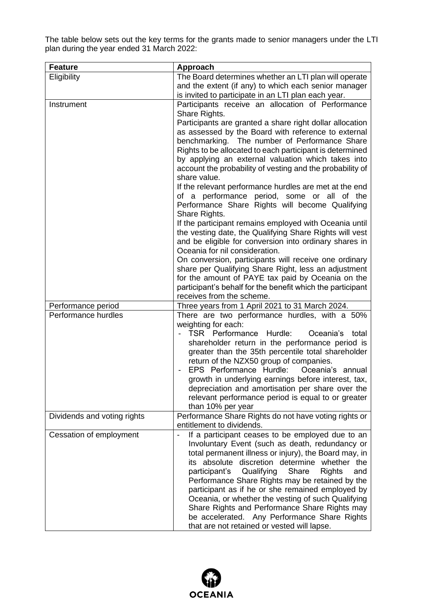The table below sets out the key terms for the grants made to senior managers under the LTI plan during the year ended 31 March 2022:

| <b>Feature</b>                            | Approach                                                                                                       |
|-------------------------------------------|----------------------------------------------------------------------------------------------------------------|
| Eligibility                               | The Board determines whether an LTI plan will operate                                                          |
|                                           | and the extent (if any) to which each senior manager                                                           |
|                                           | is invited to participate in an LTI plan each year.                                                            |
| Instrument                                | Participants receive an allocation of Performance                                                              |
|                                           | Share Rights.                                                                                                  |
|                                           | Participants are granted a share right dollar allocation                                                       |
|                                           | as assessed by the Board with reference to external                                                            |
|                                           | benchmarking. The number of Performance Share                                                                  |
|                                           | Rights to be allocated to each participant is determined<br>by applying an external valuation which takes into |
|                                           | account the probability of vesting and the probability of                                                      |
|                                           | share value.                                                                                                   |
|                                           | If the relevant performance hurdles are met at the end                                                         |
|                                           | of a performance period, some or all of the                                                                    |
|                                           | Performance Share Rights will become Qualifying                                                                |
|                                           | Share Rights.                                                                                                  |
|                                           | If the participant remains employed with Oceania until                                                         |
|                                           | the vesting date, the Qualifying Share Rights will vest                                                        |
|                                           | and be eligible for conversion into ordinary shares in                                                         |
|                                           | Oceania for nil consideration.                                                                                 |
|                                           | On conversion, participants will receive one ordinary                                                          |
|                                           | share per Qualifying Share Right, less an adjustment                                                           |
|                                           | for the amount of PAYE tax paid by Oceania on the                                                              |
|                                           | participant's behalf for the benefit which the participant                                                     |
|                                           | receives from the scheme.                                                                                      |
| Performance period<br>Performance hurdles | Three years from 1 April 2021 to 31 March 2024.                                                                |
|                                           | There are two performance hurdles, with a 50%<br>weighting for each:                                           |
|                                           | TSR Performance Hurdle:<br>Oceania's total                                                                     |
|                                           | shareholder return in the performance period is                                                                |
|                                           | greater than the 35th percentile total shareholder                                                             |
|                                           | return of the NZX50 group of companies.                                                                        |
|                                           | EPS Performance Hurdle:<br>Oceania's annual                                                                    |
|                                           | growth in underlying earnings before interest, tax,                                                            |
|                                           | depreciation and amortisation per share over the                                                               |
|                                           | relevant performance period is equal to or greater                                                             |
|                                           | than 10% per year                                                                                              |
| Dividends and voting rights               | Performance Share Rights do not have voting rights or                                                          |
|                                           | entitlement to dividends.                                                                                      |
| Cessation of employment                   | If a participant ceases to be employed due to an                                                               |
|                                           | Involuntary Event (such as death, redundancy or                                                                |
|                                           | total permanent illness or injury), the Board may, in<br>its absolute discretion determine whether the         |
|                                           | Qualifying<br>Share<br><b>Rights</b><br>participant's<br>and                                                   |
|                                           | Performance Share Rights may be retained by the                                                                |
|                                           | participant as if he or she remained employed by                                                               |
|                                           | Oceania, or whether the vesting of such Qualifying                                                             |
|                                           | Share Rights and Performance Share Rights may                                                                  |
|                                           | be accelerated. Any Performance Share Rights                                                                   |
|                                           | that are not retained or vested will lapse.                                                                    |

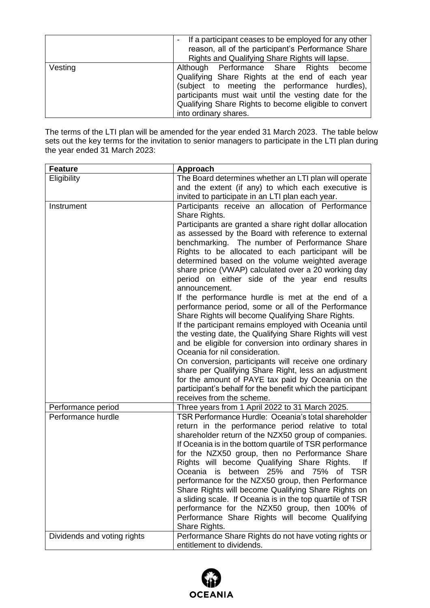|         | If a participant ceases to be employed for any other<br>reason, all of the participant's Performance Share<br>Rights and Qualifying Share Rights will lapse.                                                                                                                            |
|---------|-----------------------------------------------------------------------------------------------------------------------------------------------------------------------------------------------------------------------------------------------------------------------------------------|
| Vesting | Although Performance Share Rights become<br>Qualifying Share Rights at the end of each year<br>(subject to meeting the performance hurdles),<br>participants must wait until the vesting date for the<br>Qualifying Share Rights to become eligible to convert<br>into ordinary shares. |

The terms of the LTI plan will be amended for the year ended 31 March 2023. The table below sets out the key terms for the invitation to senior managers to participate in the LTI plan during the year ended 31 March 2023:

| <b>Feature</b>              | Approach                                                                                                    |
|-----------------------------|-------------------------------------------------------------------------------------------------------------|
| Eligibility                 | The Board determines whether an LTI plan will operate                                                       |
|                             | and the extent (if any) to which each executive is                                                          |
|                             | invited to participate in an LTI plan each year.                                                            |
| Instrument                  | Participants receive an allocation of Performance                                                           |
|                             | Share Rights.                                                                                               |
|                             | Participants are granted a share right dollar allocation                                                    |
|                             | as assessed by the Board with reference to external                                                         |
|                             | benchmarking. The number of Performance Share                                                               |
|                             | Rights to be allocated to each participant will be                                                          |
|                             | determined based on the volume weighted average                                                             |
|                             | share price (VWAP) calculated over a 20 working day                                                         |
|                             | period on either side of the year end results                                                               |
|                             | announcement.                                                                                               |
|                             | If the performance hurdle is met at the end of a                                                            |
|                             | performance period, some or all of the Performance                                                          |
|                             | Share Rights will become Qualifying Share Rights.<br>If the participant remains employed with Oceania until |
|                             | the vesting date, the Qualifying Share Rights will vest                                                     |
|                             | and be eligible for conversion into ordinary shares in                                                      |
|                             | Oceania for nil consideration.                                                                              |
|                             | On conversion, participants will receive one ordinary                                                       |
|                             | share per Qualifying Share Right, less an adjustment                                                        |
|                             | for the amount of PAYE tax paid by Oceania on the                                                           |
|                             | participant's behalf for the benefit which the participant                                                  |
|                             | receives from the scheme.                                                                                   |
| Performance period          | Three years from 1 April 2022 to 31 March 2025.                                                             |
| Performance hurdle          | TSR Performance Hurdle: Oceania's total shareholder                                                         |
|                             | return in the performance period relative to total                                                          |
|                             | shareholder return of the NZX50 group of companies.                                                         |
|                             | If Oceania is in the bottom quartile of TSR performance                                                     |
|                             | for the NZX50 group, then no Performance Share                                                              |
|                             | Rights will become Qualifying Share Rights.<br><u>If</u>                                                    |
|                             | Oceania<br>between<br>25% and 75% of TSR<br>is                                                              |
|                             | performance for the NZX50 group, then Performance                                                           |
|                             | Share Rights will become Qualifying Share Rights on                                                         |
|                             | a sliding scale. If Oceania is in the top quartile of TSR                                                   |
|                             | performance for the NZX50 group, then 100% of                                                               |
|                             | Performance Share Rights will become Qualifying                                                             |
|                             | Share Rights.                                                                                               |
| Dividends and voting rights | Performance Share Rights do not have voting rights or                                                       |
|                             | entitlement to dividends.                                                                                   |

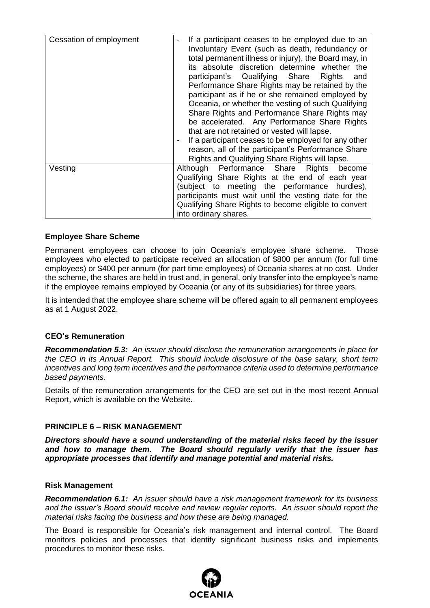| Cessation of employment | If a participant ceases to be employed due to an<br>Involuntary Event (such as death, redundancy or<br>total permanent illness or injury), the Board may, in<br>its absolute discretion determine whether the<br>participant's Qualifying Share Rights<br>and<br>Performance Share Rights may be retained by the<br>participant as if he or she remained employed by<br>Oceania, or whether the vesting of such Qualifying<br>Share Rights and Performance Share Rights may<br>be accelerated. Any Performance Share Rights<br>that are not retained or vested will lapse.<br>If a participant ceases to be employed for any other<br>reason, all of the participant's Performance Share<br>Rights and Qualifying Share Rights will lapse. |
|-------------------------|--------------------------------------------------------------------------------------------------------------------------------------------------------------------------------------------------------------------------------------------------------------------------------------------------------------------------------------------------------------------------------------------------------------------------------------------------------------------------------------------------------------------------------------------------------------------------------------------------------------------------------------------------------------------------------------------------------------------------------------------|
| Vesting                 | Although Performance Share Rights<br>become<br>Qualifying Share Rights at the end of each year<br>(subject to meeting the performance hurdles),<br>participants must wait until the vesting date for the<br>Qualifying Share Rights to become eligible to convert<br>into ordinary shares.                                                                                                                                                                                                                                                                                                                                                                                                                                                 |

## **Employee Share Scheme**

Permanent employees can choose to join Oceania's employee share scheme. Those employees who elected to participate received an allocation of \$800 per annum (for full time employees) or \$400 per annum (for part time employees) of Oceania shares at no cost. Under the scheme, the shares are held in trust and, in general, only transfer into the employee's name if the employee remains employed by Oceania (or any of its subsidiaries) for three years.

It is intended that the employee share scheme will be offered again to all permanent employees as at 1 August 2022.

#### **CEO's Remuneration**

*Recommendation 5.3: An issuer should disclose the remuneration arrangements in place for the CEO in its Annual Report. This should include disclosure of the base salary, short term incentives and long term incentives and the performance criteria used to determine performance based payments.*

Details of the remuneration arrangements for the CEO are set out in the most recent Annual Report, which is available on the Website.

#### **PRINCIPLE 6 – RISK MANAGEMENT**

*Directors should have a sound understanding of the material risks faced by the issuer and how to manage them. The Board should regularly verify that the issuer has appropriate processes that identify and manage potential and material risks.*

#### **Risk Management**

*Recommendation 6.1: An issuer should have a risk management framework for its business and the issuer's Board should receive and review regular reports. An issuer should report the material risks facing the business and how these are being managed.*

The Board is responsible for Oceania's risk management and internal control. The Board monitors policies and processes that identify significant business risks and implements procedures to monitor these risks.

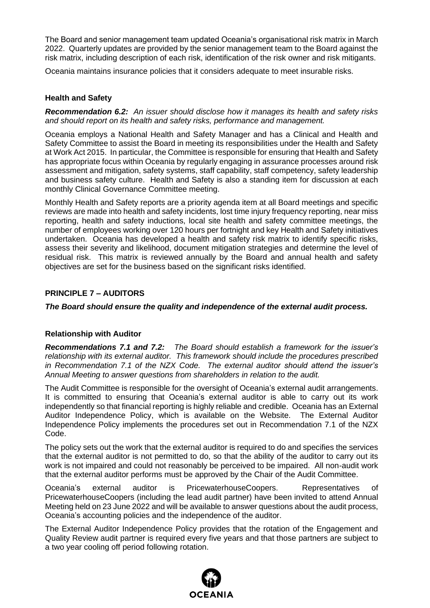The Board and senior management team updated Oceania's organisational risk matrix in March 2022. Quarterly updates are provided by the senior management team to the Board against the risk matrix, including description of each risk, identification of the risk owner and risk mitigants.

Oceania maintains insurance policies that it considers adequate to meet insurable risks.

#### **Health and Safety**

*Recommendation 6.2: An issuer should disclose how it manages its health and safety risks and should report on its health and safety risks, performance and management.*

Oceania employs a National Health and Safety Manager and has a Clinical and Health and Safety Committee to assist the Board in meeting its responsibilities under the Health and Safety at Work Act 2015. In particular, the Committee is responsible for ensuring that Health and Safety has appropriate focus within Oceania by regularly engaging in assurance processes around risk assessment and mitigation, safety systems, staff capability, staff competency, safety leadership and business safety culture. Health and Safety is also a standing item for discussion at each monthly Clinical Governance Committee meeting.

Monthly Health and Safety reports are a priority agenda item at all Board meetings and specific reviews are made into health and safety incidents, lost time injury frequency reporting, near miss reporting, health and safety inductions, local site health and safety committee meetings, the number of employees working over 120 hours per fortnight and key Health and Safety initiatives undertaken. Oceania has developed a health and safety risk matrix to identify specific risks, assess their severity and likelihood, document mitigation strategies and determine the level of residual risk. This matrix is reviewed annually by the Board and annual health and safety objectives are set for the business based on the significant risks identified.

## **PRINCIPLE 7 – AUDITORS**

*The Board should ensure the quality and independence of the external audit process.*

## **Relationship with Auditor**

*Recommendations 7.1 and 7.2: The Board should establish a framework for the issuer's relationship with its external auditor. This framework should include the procedures prescribed in Recommendation 7.1 of the NZX Code. The external auditor should attend the issuer's Annual Meeting to answer questions from shareholders in relation to the audit.*

The Audit Committee is responsible for the oversight of Oceania's external audit arrangements. It is committed to ensuring that Oceania's external auditor is able to carry out its work independently so that financial reporting is highly reliable and credible. Oceania has an External Auditor Independence Policy, which is available on the Website. The External Auditor Independence Policy implements the procedures set out in Recommendation 7.1 of the NZX Code.

The policy sets out the work that the external auditor is required to do and specifies the services that the external auditor is not permitted to do, so that the ability of the auditor to carry out its work is not impaired and could not reasonably be perceived to be impaired. All non-audit work that the external auditor performs must be approved by the Chair of the Audit Committee.

Oceania's external auditor is PricewaterhouseCoopers. Representatives of PricewaterhouseCoopers (including the lead audit partner) have been invited to attend Annual Meeting held on 23 June 2022 and will be available to answer questions about the audit process, Oceania's accounting policies and the independence of the auditor.

The External Auditor Independence Policy provides that the rotation of the Engagement and Quality Review audit partner is required every five years and that those partners are subject to a two year cooling off period following rotation.

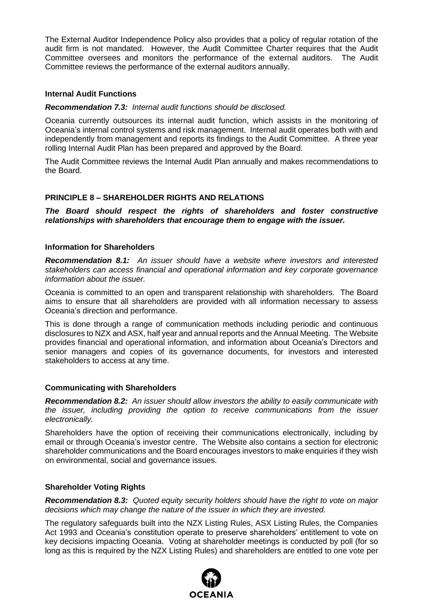The External Auditor Independence Policy also provides that a policy of regular rotation of the audit firm is not mandated. However, the Audit Committee Charter requires that the Audit Committee oversees and monitors the performance of the external auditors. The Audit Committee reviews the performance of the external auditors annually.

#### **Internal Audit Functions**

#### *Recommendation 7.3: Internal audit functions should be disclosed.*

Oceania currently outsources its internal audit function, which assists in the monitoring of Oceania's internal control systems and risk management. Internal audit operates both with and independently from management and reports its findings to the Audit Committee. A three year rolling Internal Audit Plan has been prepared and approved by the Board.

The Audit Committee reviews the Internal Audit Plan annually and makes recommendations to the Board.

## **PRINCIPLE 8 – SHAREHOLDER RIGHTS AND RELATIONS**

*The Board should respect the rights of shareholders and foster constructive relationships with shareholders that encourage them to engage with the issuer.*

#### **Information for Shareholders**

*Recommendation 8.1: An issuer should have a website where investors and interested stakeholders can access financial and operational information and key corporate governance information about the issuer.*

Oceania is committed to an open and transparent relationship with shareholders. The Board aims to ensure that all shareholders are provided with all information necessary to assess Oceania's direction and performance.

This is done through a range of communication methods including periodic and continuous disclosures to NZX and ASX, half year and annual reports and the Annual Meeting. The Website provides financial and operational information, and information about Oceania's Directors and senior managers and copies of its governance documents, for investors and interested stakeholders to access at any time.

#### **Communicating with Shareholders**

*Recommendation 8.2: An issuer should allow investors the ability to easily communicate with the issuer, including providing the option to receive communications from the issuer electronically.*

Shareholders have the option of receiving their communications electronically, including by email or through Oceania's investor centre. The Website also contains a section for electronic shareholder communications and the Board encourages investors to make enquiries if they wish on environmental, social and governance issues.

## **Shareholder Voting Rights**

*Recommendation 8.3: Quoted equity security holders should have the right to vote on major decisions which may change the nature of the issuer in which they are invested.* 

The regulatory safeguards built into the NZX Listing Rules, ASX Listing Rules, the Companies Act 1993 and Oceania's constitution operate to preserve shareholders' entitlement to vote on key decisions impacting Oceania. Voting at shareholder meetings is conducted by poll (for so long as this is required by the NZX Listing Rules) and shareholders are entitled to one vote per

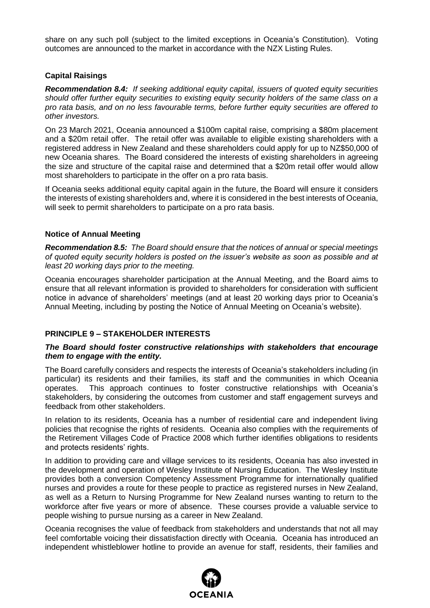share on any such poll (subject to the limited exceptions in Oceania's Constitution). Voting outcomes are announced to the market in accordance with the NZX Listing Rules.

#### **Capital Raisings**

*Recommendation 8.4: If seeking additional equity capital, issuers of quoted equity securities should offer further equity securities to existing equity security holders of the same class on a pro rata basis, and on no less favourable terms, before further equity securities are offered to other investors.*

On 23 March 2021, Oceania announced a \$100m capital raise, comprising a \$80m placement and a \$20m retail offer. The retail offer was available to eligible existing shareholders with a registered address in New Zealand and these shareholders could apply for up to NZ\$50,000 of new Oceania shares. The Board considered the interests of existing shareholders in agreeing the size and structure of the capital raise and determined that a \$20m retail offer would allow most shareholders to participate in the offer on a pro rata basis.

If Oceania seeks additional equity capital again in the future, the Board will ensure it considers the interests of existing shareholders and, where it is considered in the best interests of Oceania, will seek to permit shareholders to participate on a pro rata basis.

## **Notice of Annual Meeting**

*Recommendation 8.5: The Board should ensure that the notices of annual or special meetings of quoted equity security holders is posted on the issuer's website as soon as possible and at least 20 working days prior to the meeting.*

Oceania encourages shareholder participation at the Annual Meeting, and the Board aims to ensure that all relevant information is provided to shareholders for consideration with sufficient notice in advance of shareholders' meetings (and at least 20 working days prior to Oceania's Annual Meeting, including by posting the Notice of Annual Meeting on Oceania's website).

## **PRINCIPLE 9 – STAKEHOLDER INTERESTS**

#### *The Board should foster constructive relationships with stakeholders that encourage them to engage with the entity.*

The Board carefully considers and respects the interests of Oceania's stakeholders including (in particular) its residents and their families, its staff and the communities in which Oceania operates. This approach continues to foster constructive relationships with Oceania's stakeholders, by considering the outcomes from customer and staff engagement surveys and feedback from other stakeholders.

In relation to its residents, Oceania has a number of residential care and independent living policies that recognise the rights of residents. Oceania also complies with the requirements of the Retirement Villages Code of Practice 2008 which further identifies obligations to residents and protects residents' rights.

In addition to providing care and village services to its residents, Oceania has also invested in the development and operation of Wesley Institute of Nursing Education. The Wesley Institute provides both a conversion Competency Assessment Programme for internationally qualified nurses and provides a route for these people to practice as registered nurses in New Zealand, as well as a Return to Nursing Programme for New Zealand nurses wanting to return to the workforce after five years or more of absence. These courses provide a valuable service to people wishing to pursue nursing as a career in New Zealand.

Oceania recognises the value of feedback from stakeholders and understands that not all may feel comfortable voicing their dissatisfaction directly with Oceania. Oceania has introduced an independent whistleblower hotline to provide an avenue for staff, residents, their families and